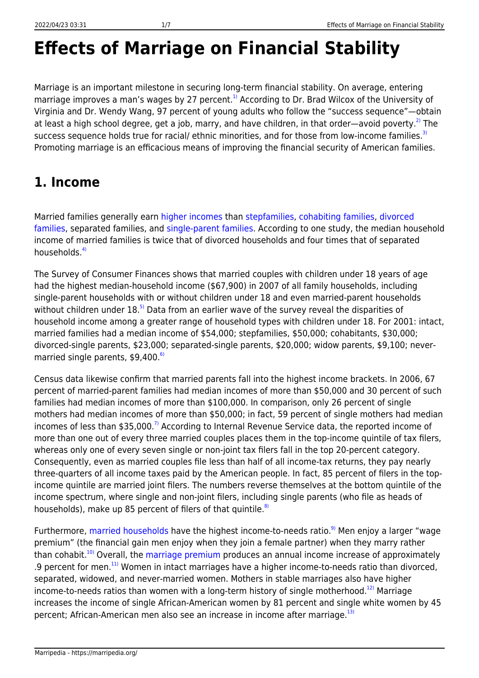# **Effects of Marriage on Financial Stability**

Marriage is an important milestone in securing long-term financial stability. On average, entering marriage improves a man's wages by 27 percent.<sup>[1\)](#page--1-0)</sup> According to Dr. Brad Wilcox of the University of Virginia and Dr. Wendy Wang, 97 percent of young adults who follow the "success sequence"—obtain at least a high school degree, get a job, marry, and have children, in that order—avoid poverty.<sup>[2\)](#page--1-0)</sup> The success sequence holds true for racial/ ethnic minorities, and for those from low-income families.<sup>[3\)](#page--1-0)</sup> Promoting marriage is an efficacious means of improving the financial security of American families.

# **1. Income**

Married families generally earn [higher incomes](https://marripedia.org/effects_of_family_structure_on_income) than [stepfamilies,](https://marripedia.org/effects.of.stepfamilies.on.financial.stability) [cohabiting families,](https://marripedia.org/effects.of.cohabitation.on.financial.stability) [divorced](https://marripedia.org/effects.of.divorce.on.financial.stability) [families](https://marripedia.org/effects.of.divorce.on.financial.stability), separated families, and [single-parent families.](https://marripedia.org/effects.of.single.parents.on.financial.stability) According to one study, the median household income of married families is twice that of divorced households and four times that of separated households $\frac{4}{1}$ 

The Survey of Consumer Finances shows that married couples with children under 18 years of age had the highest median-household income (\$67,900) in 2007 of all family households, including single-parent households with or without children under 18 and even married-parent households without children under  $18<sup>5</sup>$  Data from an earlier wave of the survey reveal the disparities of household income among a greater range of household types with children under 18. For 2001: intact, married families had a median income of \$54,000; stepfamilies, \$50,000; cohabitants, \$30,000; divorced-single parents, \$23,000; separated-single parents, \$20,000; widow parents, \$9,100; nevermarried single parents,  $$9,400$ .<sup>[6\)](#page--1-0)</sup>

Census data likewise confirm that married parents fall into the highest income brackets. In 2006, 67 percent of married-parent families had median incomes of more than \$50,000 and 30 percent of such families had median incomes of more than \$100,000. In comparison, only 26 percent of single mothers had median incomes of more than \$50,000; in fact, 59 percent of single mothers had median incomes of less than \$35,000.<sup>[7\)](#page--1-0)</sup> According to Internal Revenue Service data, the reported income of more than one out of every three married couples places them in the top-income quintile of tax filers, whereas only one of every seven single or non-joint tax filers fall in the top 20-percent category. Consequently, even as married couples file less than half of all income-tax returns, they pay nearly three-quarters of all income taxes paid by the American people. In fact, 85 percent of filers in the topincome quintile are married joint filers. The numbers reverse themselves at the bottom quintile of the income spectrum, where single and non-joint filers, including single parents (who file as heads of households), make up 85 percent of filers of that quintile. $8$ 

Furthermore, [married households](https://marripedia.org/comparative_advantage_of_married_couples) have the highest income-to-needs ratio.<sup>[9\)](#page--1-0)</sup> Men enjoy a larger "wage premium" (the financial gain men enjoy when they join a female partner) when they marry rather than cohabit.<sup>[10\)](#page--1-0)</sup> Overall, the [marriage premium](https://marripedia.org/effects_of_marriage_on_workforce_participation) produces an annual income increase of approximately .9 percent for men.<sup>[11\)](#page--1-0)</sup> Women in intact marriages have a higher income-to-needs ratio than divorced, separated, widowed, and never-married women. Mothers in stable marriages also have higher income-to-needs ratios than women with a long-term history of single motherhood.<sup>[12\)](#page--1-0)</sup> Marriage increases the income of single African-American women by 81 percent and single white women by 45 percent; African-American men also see an increase in income after marriage.<sup>[13\)](#page--1-0)</sup>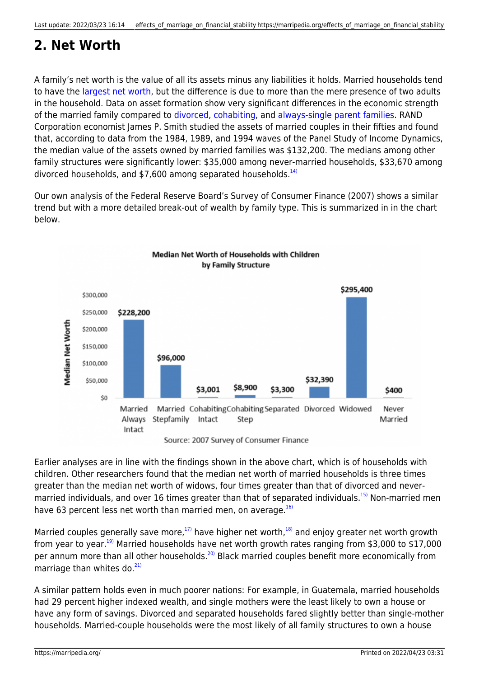# **2. Net Worth**

A family's net worth is the value of all its assets minus any liabilities it holds. Married households tend to have the [largest net worth,](https://marripedia.org/effects_of_family_structure_on_income) but the difference is due to more than the mere presence of two adults in the household. Data on asset formation show very significant differences in the economic strength of the married family compared to [divorced](https://marripedia.org/effects.of.divorce.on.financial.stability), [cohabiting,](https://marripedia.org/effects.of.cohabitation.on.financial.stability) and [always-single parent families](https://marripedia.org/effects.of.single.parents.on.financial.stability). RAND Corporation economist James P. Smith studied the assets of married couples in their fifties and found that, according to data from the 1984, 1989, and 1994 waves of the Panel Study of Income Dynamics, the median value of the assets owned by married families was \$132,200. The medians among other family structures were significantly lower: \$35,000 among never-married households, \$33,670 among divorced households, and  $$7,600$  among separated households.<sup>[14\)](#page--1-0)</sup>

Our own analysis of the Federal Reserve Board's Survey of Consumer Finance (2007) shows a similar trend but with a more detailed break-out of wealth by family type. This is summarized in in the chart below.



Earlier analyses are in line with the findings shown in the above chart, which is of households with children. Other researchers found that the median net worth of married households is three times greater than the median net worth of widows, four times greater than that of divorced and never-married individuals, and over 16 times greater than that of separated individuals.<sup>[15\)](#page--1-0)</sup> Non-married men have 63 percent less net worth than married men, on average. $^{16}$ 

Married couples generally save more,<sup>[17\)](#page--1-0)</sup> have higher net worth,<sup>[18\)](#page--1-0)</sup> and enjoy greater net worth growth from year to year.<sup>[19\)](#page--1-0)</sup> Married households have net worth growth rates ranging from \$3,000 to \$17,000 per annum more than all other households.<sup>[20\)](#page--1-0)</sup> Black married couples benefit more economically from marriage than whites do. $^{21}$ 

A similar pattern holds even in much poorer nations: For example, in Guatemala, married households had 29 percent higher indexed wealth, and single mothers were the least likely to own a house or have any form of savings. Divorced and separated households fared slightly better than single-mother households. Married-couple households were the most likely of all family structures to own a house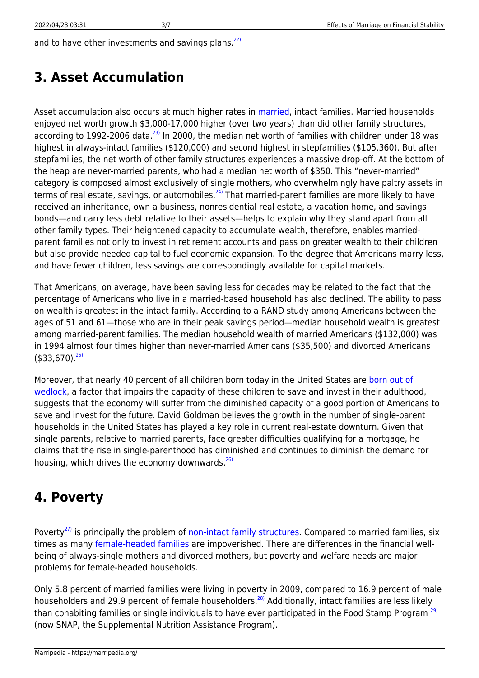and to have other investments and savings plans. $^{22}$ 

#### **3. Asset Accumulation**

Asset accumulation also occurs at much higher rates in [married,](https://marripedia.org/comparative_advantage_of_married_couples) intact families. Married households enjoyed net worth growth \$3,000-17,000 higher (over two years) than did other family structures, according to 1992-2006 data.<sup>[23\)](#page--1-0)</sup> In 2000, the median net worth of families with children under 18 was highest in always-intact families (\$120,000) and second highest in stepfamilies (\$105,360). But after stepfamilies, the net worth of other family structures experiences a massive drop-off. At the bottom of the heap are never-married parents, who had a median net worth of \$350. This "never-married" category is composed almost exclusively of single mothers, who overwhelmingly have paltry assets in terms of real estate, savings, or automobiles.<sup>[24\)](#page--1-0)</sup> That married-parent families are more likely to have received an inheritance, own a business, nonresidential real estate, a vacation home, and savings bonds—and carry less debt relative to their assets—helps to explain why they stand apart from all other family types. Their heightened capacity to accumulate wealth, therefore, enables marriedparent families not only to invest in retirement accounts and pass on greater wealth to their children but also provide needed capital to fuel economic expansion. To the degree that Americans marry less, and have fewer children, less savings are correspondingly available for capital markets.

That Americans, on average, have been saving less for decades may be related to the fact that the percentage of Americans who live in a married-based household has also declined. The ability to pass on wealth is greatest in the intact family. According to a RAND study among Americans between the ages of 51 and 61—those who are in their peak savings period—median household wealth is greatest among married-parent families. The median household wealth of married Americans (\$132,000) was in 1994 almost four times higher than never-married Americans (\$35,500) and divorced Americans  $($ \$33,670). $^{25)}$  $^{25)}$  $^{25)}$ 

Moreover, that nearly 40 percent of all children born today in the United States are [born out of](https://marripedia.org/effects_of_out-of-wedlock_births_on_society) [wedlock,](https://marripedia.org/effects_of_out-of-wedlock_births_on_society) a factor that impairs the capacity of these children to save and invest in their adulthood, suggests that the economy will suffer from the diminished capacity of a good portion of Americans to save and invest for the future. David Goldman believes the growth in the number of single-parent households in the United States has played a key role in current real-estate downturn. Given that single parents, relative to married parents, face greater difficulties qualifying for a mortgage, he claims that the rise in single-parenthood has diminished and continues to diminish the demand for housing, which drives the economy downwards. $^{26}$ 

### **4. Poverty**

Poverty<sup>[27\)](#page--1-0)</sup> is principally the problem of [non-intact family structures.](https://marripedia.org/effects_of_single_parents_on_poverty_rates) Compared to married families, six times as many [female-headed families](https://marripedia.org/effects_of_out-of-wedlock_births_on_poverty) are impoverished. There are differences in the financial wellbeing of always-single mothers and divorced mothers, but poverty and welfare needs are major problems for female-headed households.

Only 5.8 percent of married families were living in poverty in 2009, compared to 16.9 percent of male householders and 29.9 percent of female householders.<sup>[28\)](#page--1-0)</sup> Additionally, intact families are less likely than cohabiting families or single individuals to have ever participated in the Food Stamp Program<sup>[29\)](#page--1-0)</sup> (now SNAP, the Supplemental Nutrition Assistance Program).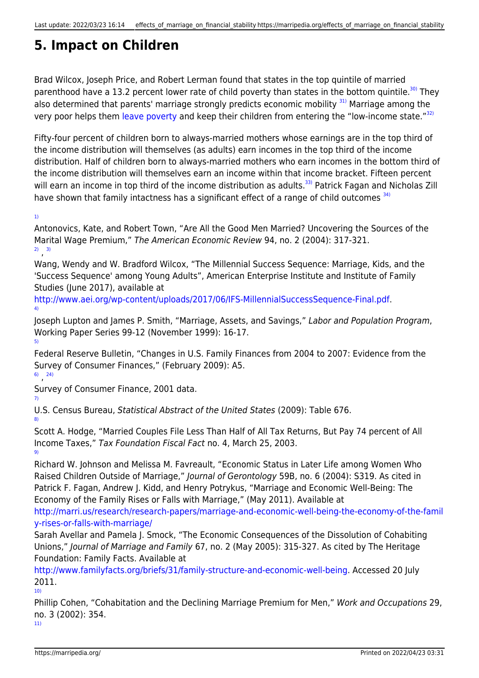# **5. Impact on Children**

Brad Wilcox, Joseph Price, and Robert Lerman found that states in the top quintile of married parenthood have a 13.2 percent lower rate of child poverty than states in the bottom quintile.<sup>[30\)](#page--1-0)</sup> They also determined that parents' marriage strongly predicts economic mobility  $31$ ) Marriage among the very poor helps them [leave poverty](https://marripedia.org/effects_of_marriage_on_child_poverty) and keep their children from entering the "low-income state."<sup>[32\)](#page--1-0)</sup>

Fifty-four percent of children born to always-married mothers whose earnings are in the top third of the income distribution will themselves (as adults) earn incomes in the top third of the income distribution. Half of children born to always-married mothers who earn incomes in the bottom third of the income distribution will themselves earn an income within that income bracket. Fifteen percent will earn an income in top third of the income distribution as adults.<sup>[33\)](#page--1-0)</sup> Patrick Fagan and Nicholas Zill have shown that family intactness has a significant effect of a range of child outcomes  $34$ )

[1\)](#page--1-0)

[4\)](#page--1-0)

Antonovics, Kate, and Robert Town, "Are All the Good Men Married? Uncovering the Sources of the Marital Wage Premium," The American Economic Review 94, no. 2 (2004): 317-321. [2\)](#page--1-0) , [3\)](#page--1-0)

Wang, Wendy and W. Bradford Wilcox, "The Millennial Success Sequence: Marriage, Kids, and the 'Success Sequence' among Young Adults", American Enterprise Institute and Institute of Family Studies (June 2017), available at

<http://www.aei.org/wp-content/uploads/2017/06/IFS-MillennialSuccessSequence-Final.pdf>.

Joseph Lupton and James P. Smith, "Marriage, Assets, and Savings," Labor and Population Program, Working Paper Series 99-12 (November 1999): 16-17. [5\)](#page--1-0)

Federal Reserve Bulletin, "Changes in U.S. Family Finances from 2004 to 2007: Evidence from the Survey of Consumer Finances," (February 2009): A5.

#### [6\)](#page--1-0) , [24\)](#page--1-0)

[7\)](#page--1-0)

[8\)](#page--1-0)

[10\)](#page--1-0)

Survey of Consumer Finance, 2001 data.

U.S. Census Bureau, Statistical Abstract of the United States (2009): Table 676.

Scott A. Hodge, "Married Couples File Less Than Half of All Tax Returns, But Pay 74 percent of All Income Taxes," Tax Foundation Fiscal Fact no. 4, March 25, 2003. [9\)](#page--1-0)

Richard W. Johnson and Melissa M. Favreault, "Economic Status in Later Life among Women Who Raised Children Outside of Marriage," Journal of Gerontology 59B, no. 6 (2004): S319. As cited in Patrick F. Fagan, Andrew J. Kidd, and Henry Potrykus, "Marriage and Economic Well-Being: The Economy of the Family Rises or Falls with Marriage," (May 2011). Available at

[http://marri.us/research/research-papers/marriage-and-economic-well-being-the-economy-of-the-famil](http://marri.us/research/research-papers/marriage-and-economic-well-being-the-economy-of-the-family-rises-or-falls-with-marriage/) [y-rises-or-falls-with-marriage/](http://marri.us/research/research-papers/marriage-and-economic-well-being-the-economy-of-the-family-rises-or-falls-with-marriage/)

Sarah Avellar and Pamela J. Smock, "The Economic Consequences of the Dissolution of Cohabiting Unions," Journal of Marriage and Family 67, no. 2 (May 2005): 315-327. As cited by The Heritage Foundation: Family Facts. Available at

<http://www.familyfacts.org/briefs/31/family-structure-and-economic-well-being>. Accessed 20 July 2011.

Phillip Cohen, "Cohabitation and the Declining Marriage Premium for Men," Work and Occupations 29, no. 3 (2002): 354. [11\)](#page--1-0)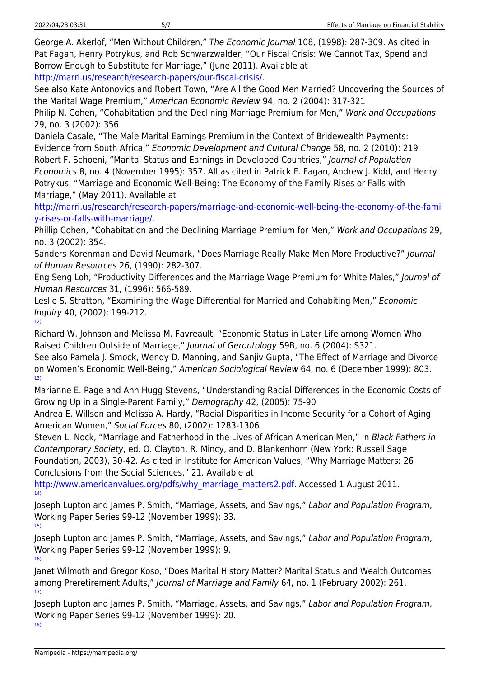George A. Akerlof, "Men Without Children," The Economic Journal 108, (1998): 287-309. As cited in Pat Fagan, Henry Potrykus, and Rob Schwarzwalder, "Our Fiscal Crisis: We Cannot Tax, Spend and Borrow Enough to Substitute for Marriage," (June 2011). Available at

[http://marri.us/research/research-papers/our-fiscal-crisis/.](http://marri.us/research/research-papers/our-fiscal-crisis/)

See also Kate Antonovics and Robert Town, "Are All the Good Men Married? Uncovering the Sources of the Marital Wage Premium," American Economic Review 94, no. 2 (2004): 317-321

Philip N. Cohen, "Cohabitation and the Declining Marriage Premium for Men," Work and Occupations 29, no. 3 (2002): 356

Daniela Casale, "The Male Marital Earnings Premium in the Context of Bridewealth Payments: Evidence from South Africa," Economic Development and Cultural Change 58, no. 2 (2010): 219 Robert F. Schoeni, "Marital Status and Earnings in Developed Countries," Journal of Population Economics 8, no. 4 (November 1995): 357. All as cited in Patrick F. Fagan, Andrew J. Kidd, and Henry Potrykus, "Marriage and Economic Well-Being: The Economy of the Family Rises or Falls with Marriage," (May 2011). Available at

[http://marri.us/research/research-papers/marriage-and-economic-well-being-the-economy-of-the-famil](http://marri.us/research/research-papers/marriage-and-economic-well-being-the-economy-of-the-family-rises-or-falls-with-marriage/) [y-rises-or-falls-with-marriage/](http://marri.us/research/research-papers/marriage-and-economic-well-being-the-economy-of-the-family-rises-or-falls-with-marriage/).

Phillip Cohen, "Cohabitation and the Declining Marriage Premium for Men," Work and Occupations 29, no. 3 (2002): 354.

Sanders Korenman and David Neumark, "Does Marriage Really Make Men More Productive?" Journal of Human Resources 26, (1990): 282-307.

Eng Seng Loh, "Productivity Differences and the Marriage Wage Premium for White Males," Journal of Human Resources 31, (1996): 566-589.

Leslie S. Stratton, "Examining the Wage Differential for Married and Cohabiting Men," Economic Inquiry 40, (2002): 199-212.

[12\)](#page--1-0)

Richard W. Johnson and Melissa M. Favreault, "Economic Status in Later Life among Women Who Raised Children Outside of Marriage," Journal of Gerontology 59B, no. 6 (2004): S321.

See also Pamela J. Smock, Wendy D. Manning, and Sanjiv Gupta, "The Effect of Marriage and Divorce on Women's Economic Well-Being," American Sociological Review 64, no. 6 (December 1999): 803. [13\)](#page--1-0)

Marianne E. Page and Ann Hugg Stevens, "Understanding Racial Differences in the Economic Costs of Growing Up in a Single-Parent Family," Demography 42, (2005): 75-90

Andrea E. Willson and Melissa A. Hardy, "Racial Disparities in Income Security for a Cohort of Aging American Women," Social Forces 80, (2002): 1283-1306

Steven L. Nock, "Marriage and Fatherhood in the Lives of African American Men," in Black Fathers in Contemporary Society, ed. O. Clayton, R. Mincy, and D. Blankenhorn (New York: Russell Sage Foundation, 2003), 30-42. As cited in Institute for American Values, "Why Marriage Matters: 26 Conclusions from the Social Sciences," 21. Available at

[http://www.americanvalues.org/pdfs/why\\_marriage\\_matters2.pdf.](http://www.americanvalues.org/pdfs/why_marriage_matters2.pdf) Accessed 1 August 2011. [14\)](#page--1-0)

Joseph Lupton and James P. Smith, "Marriage, Assets, and Savings," Labor and Population Program, Working Paper Series 99-12 (November 1999): 33. [15\)](#page--1-0)

Joseph Lupton and James P. Smith, "Marriage, Assets, and Savings," Labor and Population Program, Working Paper Series 99-12 (November 1999): 9. [16\)](#page--1-0)

Janet Wilmoth and Gregor Koso, "Does Marital History Matter? Marital Status and Wealth Outcomes among Preretirement Adults," Journal of Marriage and Family 64, no. 1 (February 2002): 261. [17\)](#page--1-0)

Joseph Lupton and James P. Smith, "Marriage, Assets, and Savings," Labor and Population Program, Working Paper Series 99-12 (November 1999): 20.

[18\)](#page--1-0)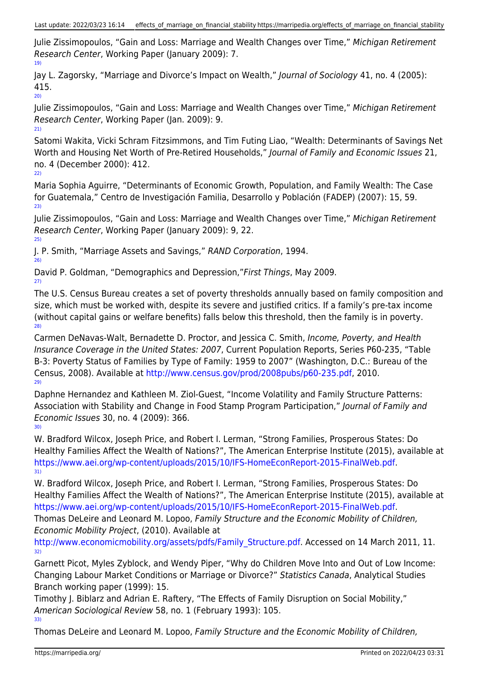Julie Zissimopoulos, "Gain and Loss: Marriage and Wealth Changes over Time," Michigan Retirement Research Center, Working Paper (January 2009): 7. [19\)](#page--1-0)

Jay L. Zagorsky, "Marriage and Divorce's Impact on Wealth," Journal of Sociology 41, no. 4 (2005): 415.

 $20$ 

Julie Zissimopoulos, "Gain and Loss: Marriage and Wealth Changes over Time," Michigan Retirement Research Center, Working Paper (Jan. 2009): 9. [21\)](#page--1-0)

Satomi Wakita, Vicki Schram Fitzsimmons, and Tim Futing Liao, "Wealth: Determinants of Savings Net Worth and Housing Net Worth of Pre-Retired Households," Journal of Family and Economic Issues 21, no. 4 (December 2000): 412.

[22\)](#page--1-0)

Maria Sophia Aguirre, "Determinants of Economic Growth, Population, and Family Wealth: The Case for Guatemala," Centro de Investigación Familia, Desarrollo y Población (FADEP) (2007): 15, 59. [23\)](#page--1-0)

Julie Zissimopoulos, "Gain and Loss: Marriage and Wealth Changes over Time," Michigan Retirement Research Center, Working Paper (January 2009): 9, 22. [25\)](#page--1-0)

J. P. Smith, "Marriage Assets and Savings," RAND Corporation, 1994.

[26\)](#page--1-0)

David P. Goldman, "Demographics and Depression,"First Things, May 2009. [27\)](#page--1-0)

The U.S. Census Bureau creates a set of poverty thresholds annually based on family composition and size, which must be worked with, despite its severe and justified critics. If a family's pre-tax income (without capital gains or welfare benefits) falls below this threshold, then the family is in poverty. [28\)](#page--1-0)

Carmen DeNavas-Walt, Bernadette D. Proctor, and Jessica C. Smith, Income, Poverty, and Health Insurance Coverage in the United States: 2007, Current Population Reports, Series P60-235, "Table B-3: Poverty Status of Families by Type of Family: 1959 to 2007" (Washington, D.C.: Bureau of the Census, 2008). Available at <http://www.census.gov/prod/2008pubs/p60-235.pdf>, 2010.  $29$ 

Daphne Hernandez and Kathleen M. Ziol-Guest, "Income Volatility and Family Structure Patterns: Association with Stability and Change in Food Stamp Program Participation," Journal of Family and Economic Issues 30, no. 4 (2009): 366. [30\)](#page--1-0)

W. Bradford Wilcox, Joseph Price, and Robert I. Lerman, "Strong Families, Prosperous States: Do Healthy Families Affect the Wealth of Nations?", The American Enterprise Institute (2015), available at <https://www.aei.org/wp-content/uploads/2015/10/IFS-HomeEconReport-2015-FinalWeb.pdf>. [31\)](#page--1-0)

W. Bradford Wilcox, Joseph Price, and Robert I. Lerman, "Strong Families, Prosperous States: Do Healthy Families Affect the Wealth of Nations?", The American Enterprise Institute (2015), available at <https://www.aei.org/wp-content/uploads/2015/10/IFS-HomeEconReport-2015-FinalWeb.pdf>.

Thomas DeLeire and Leonard M. Lopoo, Family Structure and the Economic Mobility of Children, Economic Mobility Project, (2010). Available at

http://www.economicmobility.org/assets/pdfs/Family Structure.pdf. Accessed on 14 March 2011, 11. [32\)](#page--1-0)

Garnett Picot, Myles Zyblock, and Wendy Piper, "Why do Children Move Into and Out of Low Income: Changing Labour Market Conditions or Marriage or Divorce?" Statistics Canada, Analytical Studies Branch working paper (1999): 15.

Timothy J. Biblarz and Adrian E. Raftery, "The Effects of Family Disruption on Social Mobility," American Sociological Review 58, no. 1 (February 1993): 105. [33\)](#page--1-0)

Thomas DeLeire and Leonard M. Lopoo, Family Structure and the Economic Mobility of Children,